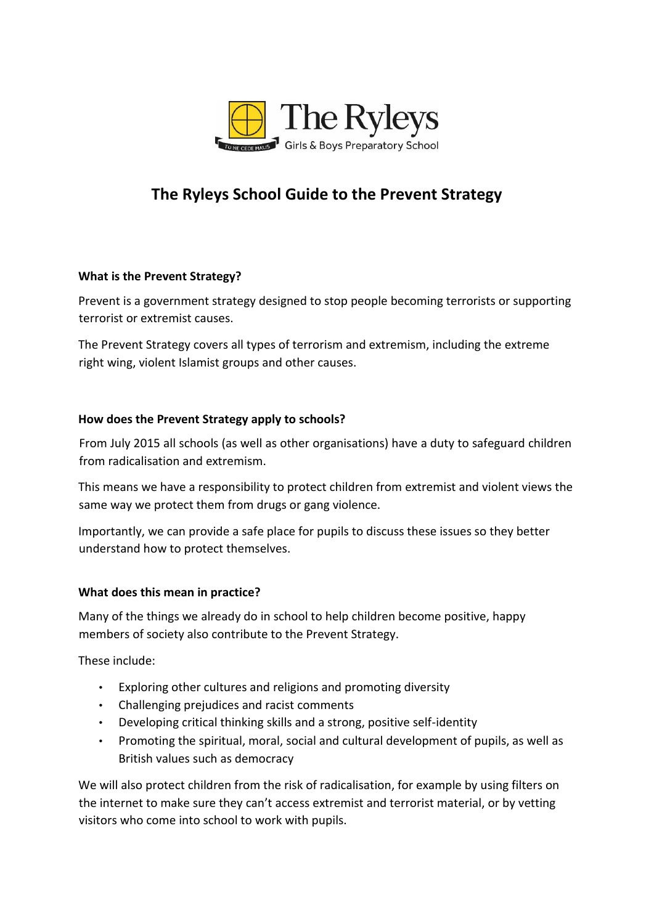

# **The Ryleys School Guide to the Prevent Strategy**

## **What is the Prevent Strategy?**

Prevent is a government strategy designed to stop people becoming terrorists or supporting terrorist or extremist causes.

The Prevent Strategy covers all types of terrorism and extremism, including the extreme right wing, violent Islamist groups and other causes.

### **How does the Prevent Strategy apply to schools?**

From July 2015 all schools (as well as other organisations) have a duty to safeguard children from radicalisation and extremism.

This means we have a responsibility to protect children from extremist and violent views the same way we protect them from drugs or gang violence.

Importantly, we can provide a safe place for pupils to discuss these issues so they better understand how to protect themselves.

### **What does this mean in practice?**

Many of the things we already do in school to help children become positive, happy members of society also contribute to the Prevent Strategy.

These include:

- Exploring other cultures and religions and promoting diversity
- Challenging prejudices and racist comments
- Developing critical thinking skills and a strong, positive self-identity
- Promoting the spiritual, moral, social and cultural development of pupils, as well as British values such as democracy

We will also protect children from the risk of radicalisation, for example by using filters on the internet to make sure they can't access extremist and terrorist material, or by vetting visitors who come into school to work with pupils.